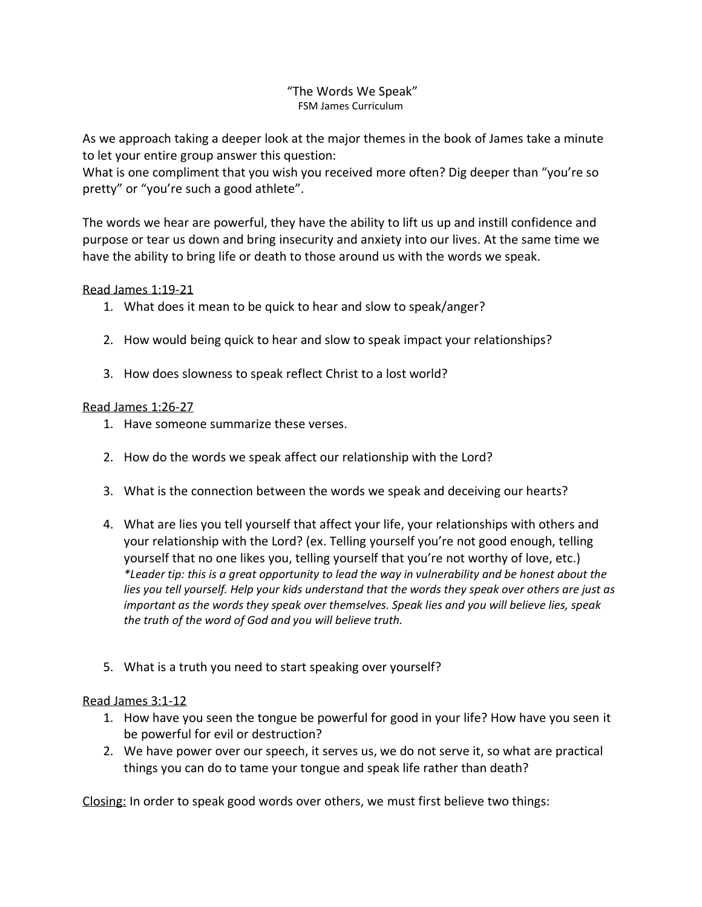## "The Words We Speak" FSM James Curriculum

As we approach taking a deeper look at the major themes in the book of James take a minute to let your entire group answer this question:

What is one compliment that you wish you received more often? Dig deeper than "you're so pretty" or "you're such a good athlete".

The words we hear are powerful, they have the ability to lift us up and instill confidence and purpose or tear us down and bring insecurity and anxiety into our lives. At the same time we have the ability to bring life or death to those around us with the words we speak.

## Read James 1:19-21

- 1. What does it mean to be quick to hear and slow to speak/anger?
- 2. How would being quick to hear and slow to speak impact your relationships?
- 3. How does slowness to speak reflect Christ to a lost world?

## Read James 1:26-27

- 1. Have someone summarize these verses.
- 2. How do the words we speak affect our relationship with the Lord?
- 3. What is the connection between the words we speak and deceiving our hearts?
- 4. What are lies you tell yourself that affect your life, your relationships with others and your relationship with the Lord? (ex. Telling yourself you're not good enough, telling yourself that no one likes you, telling yourself that you're not worthy of love, etc.) *\*Leader tip: this is a great opportunity to lead the way in vulnerability and be honest about the lies you tell yourself. Help your kids understand that the words they speak over others are just as important as the words they speak over themselves. Speak lies and you will believe lies, speak the truth of the word of God and you will believe truth.*
- 5. What is a truth you need to start speaking over yourself?

## Read James 3:1-12

- 1. How have you seen the tongue be powerful for good in your life? How have you seen it be powerful for evil or destruction?
- 2. We have power over our speech, it serves us, we do not serve it, so what are practical things you can do to tame your tongue and speak life rather than death?

Closing: In order to speak good words over others, we must first believe two things: